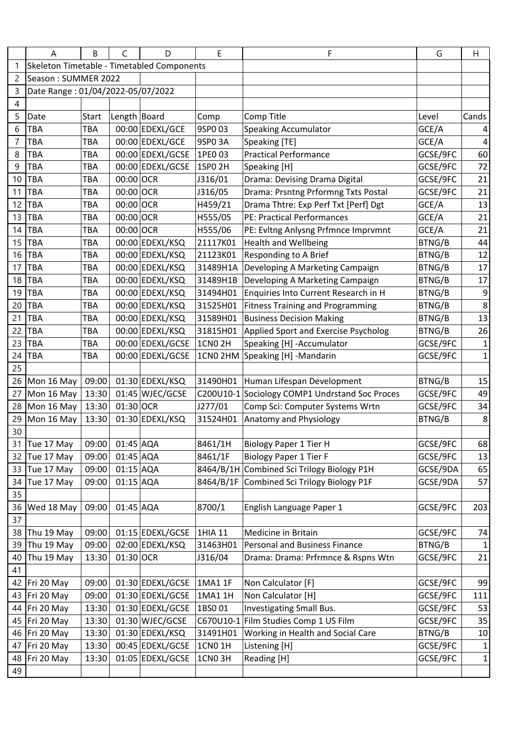|                | Α                                 | В            | C            | D                                          | E                  | F                                              | G        | H                       |
|----------------|-----------------------------------|--------------|--------------|--------------------------------------------|--------------------|------------------------------------------------|----------|-------------------------|
| 1              |                                   |              |              | Skeleton Timetable - Timetabled Components |                    |                                                |          |                         |
| 2              | Season: SUMMER 2022               |              |              |                                            |                    |                                                |          |                         |
| 3              | Date Range: 01/04/2022-05/07/2022 |              |              |                                            |                    |                                                |          |                         |
| 4              |                                   |              |              |                                            |                    |                                                |          |                         |
| 5              | Date                              | <b>Start</b> | Length Board |                                            | Comp               | Comp Title                                     | Level    | Cands                   |
| 6              | <b>TBA</b>                        | <b>TBA</b>   |              | 00:00 EDEXL/GCE                            | 9SP003             | <b>Speaking Accumulator</b>                    | GCE/A    | 4                       |
| $\overline{7}$ | <b>TBA</b>                        | <b>TBA</b>   |              | 00:00 EDEXL/GCE                            | 9SP0 3A            | Speaking [TE]                                  | GCE/A    | $\overline{\mathbf{4}}$ |
| 8              | <b>TBA</b>                        | <b>TBA</b>   |              | 00:00 EDEXL/GCSE                           | 1PE0 03            | <b>Practical Performance</b>                   | GCSE/9FC | 60                      |
| 9              | <b>TBA</b>                        | TBA          |              | 00:00 EDEXL/GCSE                           | 1SP0 2H            | Speaking [H]                                   | GCSE/9FC | 72                      |
| 10             | <b>TBA</b>                        | TBA          | 00:00 OCR    |                                            | J316/01            | Drama: Devising Drama Digital                  | GCSE/9FC | 21                      |
| 11             | <b>TBA</b>                        | <b>TBA</b>   | 00:00 OCR    |                                            | J316/05            | Drama: Prsntng Prformng Txts Postal            | GCSE/9FC | 21                      |
| 12             | <b>TBA</b>                        | TBA          | 00:00 OCR    |                                            | H459/21            | Drama Thtre: Exp Perf Txt [Perf] Dgt           | GCE/A    | 13                      |
| 13             | <b>TBA</b>                        | TBA          | 00:00 OCR    |                                            | H555/05            | <b>PE: Practical Performances</b>              | GCE/A    | 21                      |
| 14             | <b>TBA</b>                        | <b>TBA</b>   | 00:00 OCR    |                                            | H555/06            | PE: Evitng Anlysng Prfmnce Imprvmnt            | GCE/A    | 21                      |
| 15             | <b>TBA</b>                        | TBA          |              | 00:00 EDEXL/KSQ                            | 21117K01           | <b>Health and Wellbeing</b>                    | BTNG/B   | 44                      |
| 16             | <b>TBA</b>                        | TBA          |              | 00:00 EDEXL/KSQ                            | 21123K01           | Responding to A Brief                          | BTNG/B   | 12                      |
| 17             | <b>TBA</b>                        | TBA          |              | 00:00 EDEXL/KSQ                            | 31489H1A           | Developing A Marketing Campaign                | BTNG/B   | 17                      |
| 18             | <b>TBA</b>                        | TBA          |              | 00:00 EDEXL/KSQ                            | 31489H1B           | Developing A Marketing Campaign                | BTNG/B   | 17                      |
| 19             | <b>TBA</b>                        | <b>TBA</b>   |              | 00:00 EDEXL/KSQ                            | 31494H01           | Enquiries Into Current Research in H           | BTNG/B   | 9                       |
| 20             | <b>TBA</b>                        | TBA          |              | 00:00 EDEXL/KSQ                            | 31525H01           | <b>Fitness Training and Programming</b>        | BTNG/B   | 8                       |
| 21             | <b>TBA</b>                        | TBA          |              | 00:00 EDEXL/KSQ                            | 31589H01           | <b>Business Decision Making</b>                | BTNG/B   | 13                      |
| 22             | <b>TBA</b>                        | TBA          |              | 00:00 EDEXL/KSQ                            | 31815H01           | Applied Sport and Exercise Psycholog           | BTNG/B   | 26                      |
| 23             | <b>TBA</b>                        | <b>TBA</b>   |              | 00:00 EDEXL/GCSE                           | <b>1CN0 2H</b>     | Speaking [H] -Accumulator                      | GCSE/9FC | $\mathbf{1}$            |
| 24             | <b>TBA</b>                        | TBA          |              | 00:00 EDEXL/GCSE                           | 1CN0 2HM           | Speaking [H] -Mandarin                         | GCSE/9FC | $\mathbf 1$             |
| 25             |                                   |              |              |                                            |                    |                                                |          |                         |
| 26             | Mon 16 May                        | 09:00        |              | 01:30 EDEXL/KSQ                            | 31490H01           | Human Lifespan Development                     | BTNG/B   | 15                      |
| 27             | Mon 16 May                        | 13:30        |              | 01:45 WJEC/GCSE                            |                    | C200U10-1 Sociology COMP1 Undrstand Soc Proces | GCSE/9FC | 49                      |
| 28             | Mon 16 May                        | 13:30        | 01:30 OCR    |                                            | J277/01            | Comp Sci: Computer Systems Wrtn                | GCSE/9FC | 34                      |
| 29             | Mon 16 May                        | 13:30        |              | 01:30 EDEXL/KSQ                            | 31524H01           | Anatomy and Physiology                         | BTNG/B   | $\bf 8$                 |
| 30             |                                   |              |              |                                            |                    |                                                |          |                         |
| 31             | Tue 17 May                        | 09:00        | 01:45 AQA    |                                            | 8461/1H            | <b>Biology Paper 1 Tier H</b>                  | GCSE/9FC | 68                      |
| 32             | Tue 17 May                        | 09:00        | 01:45 AQA    |                                            | 8461/1F            | <b>Biology Paper 1 Tier F</b>                  | GCSE/9FC | 13                      |
| 33             | Tue 17 May                        | 09:00        | 01:15 AQA    |                                            | 8464/B/1H          | Combined Sci Trilogy Biology P1H               | GCSE/9DA | 65                      |
| 34             | Tue 17 May                        | 09:00        | 01:15 AQA    |                                            | 8464/B/1F          | Combined Sci Trilogy Biology P1F               | GCSE/9DA | 57                      |
| 35             |                                   |              |              |                                            |                    |                                                |          |                         |
| 36             | Wed 18 May                        | 09:00        | 01:45 AQA    |                                            | 8700/1             | English Language Paper 1                       | GCSE/9FC | 203                     |
| 37             |                                   |              |              |                                            |                    |                                                |          |                         |
| 38             | Thu 19 May                        | 09:00        |              | 01:15 EDEXL/GCSE                           | 1HIA 11            | Medicine in Britain                            | GCSE/9FC | 74                      |
| 39             | Thu 19 May                        | 09:00        |              | 02:00 EDEXL/KSQ                            | 31463H01           | Personal and Business Finance                  | BTNG/B   | $\mathbf 1$             |
| 40             | Thu 19 May                        | 13:30        | 01:30 OCR    |                                            | J316/04            | Drama: Drama: Prfrmnce & Rspns Wtn             | GCSE/9FC | 21                      |
| 41             |                                   |              |              |                                            |                    |                                                |          |                         |
| 42             | Fri 20 May                        | 09:00        |              | 01:30 EDEXL/GCSE                           | 1MA1 1F            | Non Calculator [F]                             | GCSE/9FC | 99                      |
| 43             | Fri 20 May                        | 09:00        |              | 01:30 EDEXL/GCSE                           | 1MA1 1H            | Non Calculator [H]                             | GCSE/9FC | 111                     |
| 44             | Fri 20 May                        | 13:30        |              | 01:30 EDEXL/GCSE                           | 1BS001             | Investigating Small Bus.                       | GCSE/9FC | 53                      |
| 45             | Fri 20 May                        | 13:30        |              | 01:30 WJEC/GCSE                            | C670U10-1          | Film Studies Comp 1 US Film                    | GCSE/9FC | 35                      |
| 46             | Fri 20 May                        | 13:30        |              | 01:30 EDEXL/KSQ                            | 31491H01           | Working in Health and Social Care              | BTNG/B   | $10\,$                  |
| 47             | Fri 20 May                        | 13:30        |              | 00:45 EDEXL/GCSE                           | 1CN0 1H            | Listening [H]                                  | GCSE/9FC | 1                       |
| 48             | Fri 20 May                        | 13:30        |              | 01:05 EDEXL/GCSE                           | 1CNO <sub>3H</sub> | Reading [H]                                    | GCSE/9FC | $\mathbf{1}$            |
| 49             |                                   |              |              |                                            |                    |                                                |          |                         |
|                |                                   |              |              |                                            |                    |                                                |          |                         |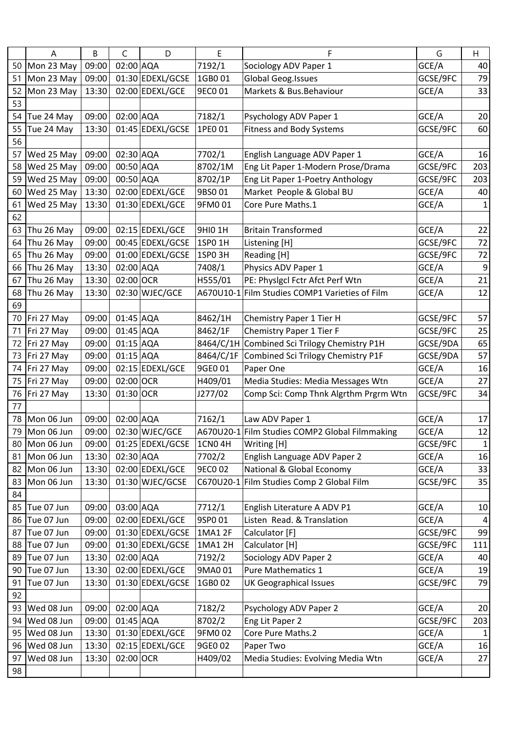|    | A          | B     | C         | D                | E                  | F                                              | G        | H                |
|----|------------|-------|-----------|------------------|--------------------|------------------------------------------------|----------|------------------|
| 50 | Mon 23 May | 09:00 | 02:00 AQA |                  | 7192/1             | Sociology ADV Paper 1                          | GCE/A    | 40               |
| 51 | Mon 23 May | 09:00 |           | 01:30 EDEXL/GCSE | 1GB001             | Global Geog. Issues                            | GCSE/9FC | 79               |
| 52 | Mon 23 May | 13:30 |           | 02:00 EDEXL/GCE  | 9EC0 01            | Markets & Bus.Behaviour                        | GCE/A    | 33               |
| 53 |            |       |           |                  |                    |                                                |          |                  |
| 54 | Tue 24 May | 09:00 | 02:00 AQA |                  | 7182/1             | Psychology ADV Paper 1                         | GCE/A    | 20               |
| 55 | Tue 24 May | 13:30 |           | 01:45 EDEXL/GCSE | 1PE0 01            | <b>Fitness and Body Systems</b>                | GCSE/9FC | 60               |
| 56 |            |       |           |                  |                    |                                                |          |                  |
| 57 | Wed 25 May | 09:00 | 02:30 AQA |                  | 7702/1             | English Language ADV Paper 1                   | GCE/A    | 16               |
| 58 | Wed 25 May | 09:00 | 00:50 AQA |                  | 8702/1M            | Eng Lit Paper 1-Modern Prose/Drama             | GCSE/9FC | 203              |
| 59 | Wed 25 May | 09:00 | 00:50 AQA |                  | 8702/1P            | Eng Lit Paper 1-Poetry Anthology               | GCSE/9FC | 203              |
| 60 | Wed 25 May | 13:30 |           | 02:00 EDEXL/GCE  | 9BS001             | Market People & Global BU                      | GCE/A    | 40               |
| 61 | Wed 25 May | 13:30 |           | 01:30 EDEXL/GCE  | 9FM001             | Core Pure Maths.1                              | GCE/A    | $\mathbf{1}$     |
| 62 |            |       |           |                  |                    |                                                |          |                  |
| 63 | Thu 26 May | 09:00 |           | 02:15 EDEXL/GCE  | 9HI0 1H            | <b>Britain Transformed</b>                     | GCE/A    | 22               |
| 64 | Thu 26 May | 09:00 |           | 00:45 EDEXL/GCSE | 1SP0 1H            | Listening [H]                                  | GCSE/9FC | 72               |
| 65 | Thu 26 May | 09:00 |           | 01:00 EDEXL/GCSE | 1SPO <sub>3H</sub> | Reading [H]                                    | GCSE/9FC | 72               |
| 66 | Thu 26 May | 13:30 | 02:00 AQA |                  | 7408/1             | Physics ADV Paper 1                            | GCE/A    | $\boldsymbol{9}$ |
| 67 | Thu 26 May | 13:30 | 02:00 OCR |                  | H555/01            | PE: Physigcl Fctr Afct Perf Wtn                | GCE/A    | 21               |
| 68 | Thu 26 May | 13:30 |           | 02:30 WJEC/GCE   | A670U10-1          | Film Studies COMP1 Varieties of Film           | GCE/A    | 12               |
| 69 |            |       |           |                  |                    |                                                |          |                  |
| 70 | Fri 27 May | 09:00 | 01:45 AQA |                  | 8462/1H            | Chemistry Paper 1 Tier H                       | GCSE/9FC | 57               |
| 71 | Fri 27 May | 09:00 | 01:45 AQA |                  | 8462/1F            | Chemistry Paper 1 Tier F                       | GCSE/9FC | 25               |
| 72 | Fri 27 May | 09:00 | 01:15 AQA |                  | 8464/C/1H          | Combined Sci Trilogy Chemistry P1H             | GCSE/9DA | 65               |
| 73 | Fri 27 May | 09:00 | 01:15 AQA |                  | 8464/C/1F          | Combined Sci Trilogy Chemistry P1F             | GCSE/9DA | 57               |
| 74 | Fri 27 May | 09:00 |           | 02:15 EDEXL/GCE  | 9GE0 01            | Paper One                                      | GCE/A    | 16               |
| 75 | Fri 27 May | 09:00 | 02:00 OCR |                  | H409/01            | Media Studies: Media Messages Wtn              | GCE/A    | 27               |
| 76 | Fri 27 May | 13:30 | 01:30 OCR |                  | J277/02            | Comp Sci: Comp Thnk Algrthm Prgrm Wtn          | GCSE/9FC | 34               |
| 77 |            |       |           |                  |                    |                                                |          |                  |
| 78 | Mon 06 Jun | 09:00 | 02:00 AQA |                  | 7162/1             | Law ADV Paper 1                                | GCE/A    | 17               |
| 79 | Mon 06 Jun | 09:00 |           | 02:30 WJEC/GCE   |                    | A670U20-1 Film Studies COMP2 Global Filmmaking | GCE/A    | 12               |
| 80 | Mon 06 Jun | 09:00 |           | 01:25 EDEXL/GCSE | <b>1CN04H</b>      | Writing [H]                                    | GCSE/9FC | $\mathbf{1}$     |
| 81 | Mon 06 Jun | 13:30 | 02:30 AQA |                  | 7702/2             | English Language ADV Paper 2                   | GCE/A    | 16               |
| 82 | Mon 06 Jun | 13:30 |           | 02:00 EDEXL/GCE  | 9EC0 02            | National & Global Economy                      | GCE/A    | 33               |
| 83 | Mon 06 Jun | 13:30 |           | 01:30 WJEC/GCSE  | C670U20-1          | Film Studies Comp 2 Global Film                | GCSE/9FC | 35               |
| 84 |            |       |           |                  |                    |                                                |          |                  |
| 85 | Tue 07 Jun | 09:00 | 03:00 AQA |                  | 7712/1             | English Literature A ADV P1                    | GCE/A    | 10               |
| 86 | Tue 07 Jun | 09:00 |           | 02:00 EDEXL/GCE  | 9SP0 01            | Listen Read. & Translation                     | GCE/A    | $\overline{a}$   |
| 87 | Tue 07 Jun | 09:00 |           | 01:30 EDEXL/GCSE | 1MA1 2F            | Calculator [F]                                 | GCSE/9FC | 99               |
| 88 | Tue 07 Jun | 09:00 |           | 01:30 EDEXL/GCSE | 1MA1 2H            | Calculator [H]                                 | GCSE/9FC | 111              |
| 89 | Tue 07 Jun | 13:30 | 02:00 AQA |                  | 7192/2             | Sociology ADV Paper 2                          | GCE/A    | 40               |
| 90 | Tue 07 Jun | 13:30 |           | 02:00 EDEXL/GCE  | 9MA0 01            | <b>Pure Mathematics 1</b>                      | GCE/A    | 19               |
| 91 | Tue 07 Jun | 13:30 |           | 01:30 EDEXL/GCSE | 1GB002             | <b>UK Geographical Issues</b>                  | GCSE/9FC | 79               |
| 92 |            |       |           |                  |                    |                                                |          |                  |
| 93 | Wed 08 Jun | 09:00 | 02:00 AQA |                  | 7182/2             | Psychology ADV Paper 2                         | GCE/A    | 20               |
| 94 | Wed 08 Jun | 09:00 | 01:45 AQA |                  | 8702/2             | Eng Lit Paper 2                                | GCSE/9FC | 203              |
| 95 | Wed 08 Jun | 13:30 |           | 01:30 EDEXL/GCE  | 9FM002             | Core Pure Maths.2                              | GCE/A    | $\mathbf{1}$     |
| 96 | Wed 08 Jun | 13:30 |           | 02:15 EDEXL/GCE  | 9GE0 02            | Paper Two                                      | GCE/A    | 16               |
| 97 | Wed 08 Jun | 13:30 | 02:00 OCR |                  | H409/02            | Media Studies: Evolving Media Wtn              | GCE/A    | 27               |
| 98 |            |       |           |                  |                    |                                                |          |                  |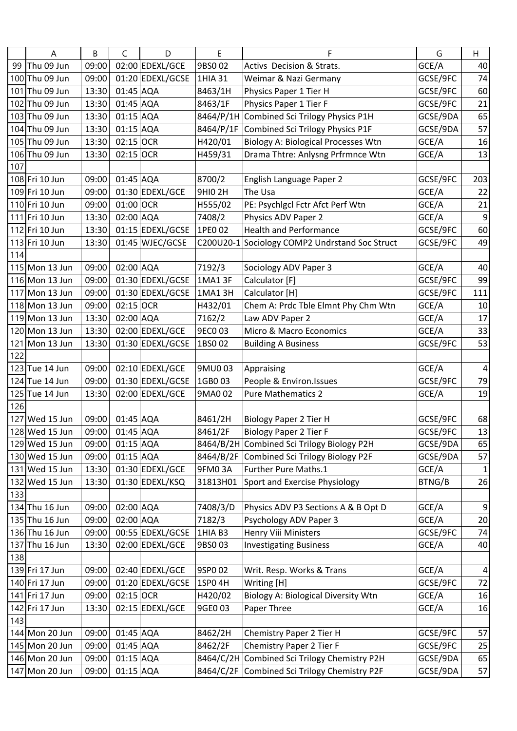|     | A              | В     | C           | D                | E              | F                                              | G        | H                       |
|-----|----------------|-------|-------------|------------------|----------------|------------------------------------------------|----------|-------------------------|
| 99  | Thu 09 Jun     | 09:00 |             | 02:00 EDEXL/GCE  | 9BS002         | Activs Decision & Strats.                      | GCE/A    | 40                      |
|     | 100 Thu 09 Jun | 09:00 |             | 01:20 EDEXL/GCSE | 1HIA 31        | Weimar & Nazi Germany                          | GCSE/9FC | 74                      |
|     | 101 Thu 09 Jun | 13:30 | 01:45 AQA   |                  | 8463/1H        | Physics Paper 1 Tier H                         | GCSE/9FC | 60                      |
|     | 102 Thu 09 Jun | 13:30 | 01:45 AQA   |                  | 8463/1F        | Physics Paper 1 Tier F                         | GCSE/9FC | 21                      |
|     | 103 Thu 09 Jun | 13:30 | 01:15 AQA   |                  | 8464/P/1H      | Combined Sci Trilogy Physics P1H               | GCSE/9DA | 65                      |
|     | 104 Thu 09 Jun | 13:30 | 01:15 AQA   |                  | 8464/P/1F      | Combined Sci Trilogy Physics P1F               | GCSE/9DA | 57                      |
|     | 105 Thu 09 Jun | 13:30 | 02:15 OCR   |                  | H420/01        | <b>Biology A: Biological Processes Wtn</b>     | GCE/A    | 16                      |
|     | 106 Thu 09 Jun | 13:30 | 02:15 OCR   |                  | H459/31        | Drama Thtre: Anlysng Prfrmnce Wtn              | GCE/A    | 13                      |
| 107 |                |       |             |                  |                |                                                |          |                         |
|     | 108 Fri 10 Jun | 09:00 | 01:45 AQA   |                  | 8700/2         | English Language Paper 2                       | GCSE/9FC | 203                     |
|     | 109 Fri 10 Jun | 09:00 |             | 01:30 EDEXL/GCE  | <b>9HIO 2H</b> | The Usa                                        | GCE/A    | 22                      |
|     | 110 Fri 10 Jun | 09:00 | 01:00 OCR   |                  | H555/02        | PE: Psychlgcl Fctr Afct Perf Wtn               | GCE/A    | 21                      |
|     | 111 Fri 10 Jun | 13:30 | 02:00 AQA   |                  | 7408/2         | Physics ADV Paper 2                            | GCE/A    | $\boldsymbol{9}$        |
|     | 112 Fri 10 Jun | 13:30 |             | 01:15 EDEXL/GCSE | 1PE0 02        | <b>Health and Performance</b>                  | GCSE/9FC | 60                      |
|     | 113 Fri 10 Jun | 13:30 |             | 01:45 WJEC/GCSE  |                | C200U20-1 Sociology COMP2 Undrstand Soc Struct | GCSE/9FC | 49                      |
| 114 |                |       |             |                  |                |                                                |          |                         |
|     | 115 Mon 13 Jun | 09:00 | 02:00 AQA   |                  | 7192/3         | Sociology ADV Paper 3                          | GCE/A    | 40                      |
|     | 116 Mon 13 Jun | 09:00 |             | 01:30 EDEXL/GCSE | 1MA1 3F        | Calculator [F]                                 | GCSE/9FC | 99                      |
|     | 117 Mon 13 Jun | 09:00 |             | 01:30 EDEXL/GCSE | 1MA1 3H        | Calculator [H]                                 | GCSE/9FC | 111                     |
|     | 118 Mon 13 Jun | 09:00 | $02:15$ OCR |                  | H432/01        | Chem A: Prdc Tble Elmnt Phy Chm Wtn            | GCE/A    | 10                      |
|     | 119 Mon 13 Jun | 13:30 | 02:00 AQA   |                  | 7162/2         | Law ADV Paper 2                                | GCE/A    | 17                      |
|     | 120 Mon 13 Jun | 13:30 |             | 02:00 EDEXL/GCE  | 9EC003         | Micro & Macro Economics                        | GCE/A    | 33                      |
| 121 | Mon 13 Jun     | 13:30 |             | 01:30 EDEXL/GCSE | 1BS002         | <b>Building A Business</b>                     | GCSE/9FC | 53                      |
| 122 |                |       |             |                  |                |                                                |          |                         |
|     | 123 Tue 14 Jun | 09:00 |             | 02:10 EDEXL/GCE  | 9MU003         | Appraising                                     | GCE/A    | $\overline{\mathbf{r}}$ |
|     | 124 Tue 14 Jun | 09:00 |             | 01:30 EDEXL/GCSE | 1GB003         | People & Environ.Issues                        | GCSE/9FC | 79                      |
|     | 125 Tue 14 Jun | 13:30 |             | 02:00 EDEXL/GCE  | 9MA0 02        | <b>Pure Mathematics 2</b>                      | GCE/A    | 19                      |
| 126 |                |       |             |                  |                |                                                |          |                         |
|     | 127 Wed 15 Jun | 09:00 | 01:45 AQA   |                  | 8461/2H        | <b>Biology Paper 2 Tier H</b>                  | GCSE/9FC | 68                      |
|     | 128 Wed 15 Jun | 09:00 | 01:45 AQA   |                  | 8461/2F        | <b>Biology Paper 2 Tier F</b>                  | GCSE/9FC | 13                      |
|     | 129 Wed 15 Jun | 09:00 | $01:15$ AQA |                  | 8464/B/2H      | Combined Sci Trilogy Biology P2H               | GCSE/9DA | 65                      |
|     | 130 Wed 15 Jun | 09:00 | 01:15 AQA   |                  | 8464/B/2F      | Combined Sci Trilogy Biology P2F               | GCSE/9DA | 57                      |
|     | 131 Wed 15 Jun | 13:30 |             | 01:30 EDEXL/GCE  | 9FM03A         | Further Pure Maths.1                           | GCE/A    | 1                       |
|     | 132 Wed 15 Jun | 13:30 |             | 01:30 EDEXL/KSQ  | 31813H01       | Sport and Exercise Physiology                  | BTNG/B   | 26                      |
| 133 |                |       |             |                  |                |                                                |          |                         |
|     | 134 Thu 16 Jun | 09:00 | 02:00 AQA   |                  | 7408/3/D       | Physics ADV P3 Sections A & B Opt D            | GCE/A    | $\boldsymbol{9}$        |
|     | 135 Thu 16 Jun | 09:00 | 02:00 AQA   |                  | 7182/3         | Psychology ADV Paper 3                         | GCE/A    | 20                      |
|     | 136 Thu 16 Jun | 09:00 |             | 00:55 EDEXL/GCSE | 1HIA B3        | Henry Viii Ministers                           | GCSE/9FC | 74                      |
|     | 137 Thu 16 Jun | 13:30 |             | 02:00 EDEXL/GCE  | 9BS003         | <b>Investigating Business</b>                  | GCE/A    | 40                      |
| 138 |                |       |             |                  |                |                                                |          |                         |
|     | 139 Fri 17 Jun | 09:00 |             | 02:40 EDEXL/GCE  | 9SP002         | Writ. Resp. Works & Trans                      | GCE/A    | $\overline{4}$          |
|     | 140 Fri 17 Jun | 09:00 |             | 01:20 EDEXL/GCSE | 1SP0 4H        | Writing [H]                                    | GCSE/9FC | 72                      |
|     | 141 Fri 17 Jun | 09:00 | 02:15 OCR   |                  | H420/02        | Biology A: Biological Diversity Wtn            | GCE/A    | 16                      |
|     | 142 Fri 17 Jun | 13:30 |             | 02:15 EDEXL/GCE  | 9GE0 03        | Paper Three                                    | GCE/A    | 16                      |
| 143 |                |       |             |                  |                |                                                |          |                         |
|     | 144 Mon 20 Jun | 09:00 | 01:45 AQA   |                  | 8462/2H        | Chemistry Paper 2 Tier H                       | GCSE/9FC | 57                      |
|     | 145 Mon 20 Jun | 09:00 | 01:45 AQA   |                  | 8462/2F        | Chemistry Paper 2 Tier F                       | GCSE/9FC | 25                      |
|     | 146 Mon 20 Jun | 09:00 | 01:15 AQA   |                  | 8464/C/2H      | Combined Sci Trilogy Chemistry P2H             | GCSE/9DA | 65                      |
|     | 147 Mon 20 Jun | 09:00 | 01:15 AQA   |                  | 8464/C/2F      | Combined Sci Trilogy Chemistry P2F             | GCSE/9DA | 57                      |